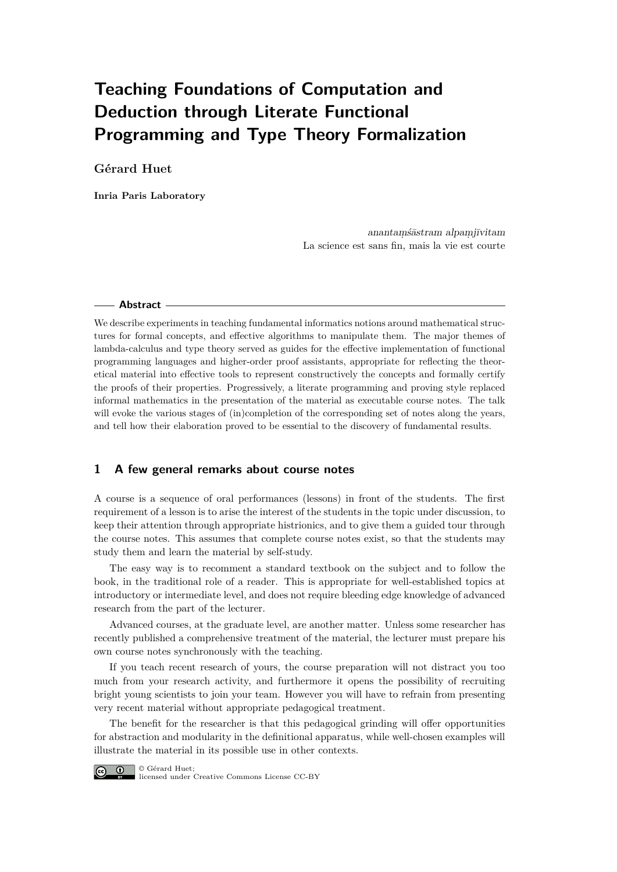# **Teaching Foundations of Computation and Deduction through Literate Functional Programming and Type Theory Formalization**

# **Gérard Huet**

**Inria Paris Laboratory**

anantamśāstram alpamjīvitam La science est sans fin, mais la vie est courte

#### **Abstract**

We describe experiments in teaching fundamental informatics notions around mathematical structures for formal concepts, and effective algorithms to manipulate them. The major themes of lambda-calculus and type theory served as guides for the effective implementation of functional programming languages and higher-order proof assistants, appropriate for reflecting the theoretical material into effective tools to represent constructively the concepts and formally certify the proofs of their properties. Progressively, a literate programming and proving style replaced informal mathematics in the presentation of the material as executable course notes. The talk will evoke the various stages of (in)completion of the corresponding set of notes along the years, and tell how their elaboration proved to be essential to the discovery of fundamental results.

# **1 A few general remarks about course notes**

A course is a sequence of oral performances (lessons) in front of the students. The first requirement of a lesson is to arise the interest of the students in the topic under discussion, to keep their attention through appropriate histrionics, and to give them a guided tour through the course notes. This assumes that complete course notes exist, so that the students may study them and learn the material by self-study.

The easy way is to recomment a standard textbook on the subject and to follow the book, in the traditional role of a reader. This is appropriate for well-established topics at introductory or intermediate level, and does not require bleeding edge knowledge of advanced research from the part of the lecturer.

Advanced courses, at the graduate level, are another matter. Unless some researcher has recently published a comprehensive treatment of the material, the lecturer must prepare his own course notes synchronously with the teaching.

If you teach recent research of yours, the course preparation will not distract you too much from your research activity, and furthermore it opens the possibility of recruiting bright young scientists to join your team. However you will have to refrain from presenting very recent material without appropriate pedagogical treatment.

The benefit for the researcher is that this pedagogical grinding will offer opportunities for abstraction and modularity in the definitional apparatus, while well-chosen examples will illustrate the material in its possible use in other contexts.



licensed under Creative Commons License CC-BY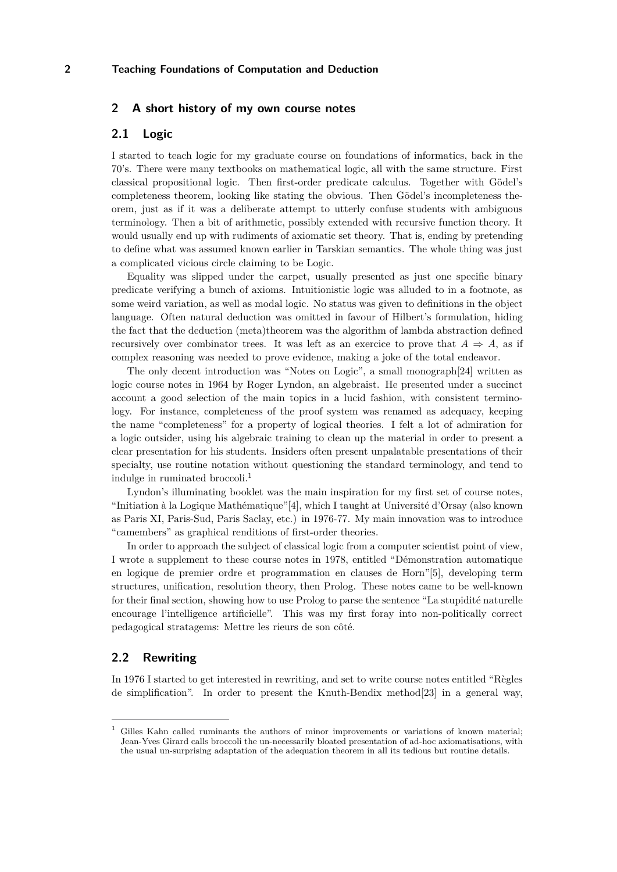## **2 A short history of my own course notes**

# **2.1 Logic**

I started to teach logic for my graduate course on foundations of informatics, back in the 70's. There were many textbooks on mathematical logic, all with the same structure. First classical propositional logic. Then first-order predicate calculus. Together with Gödel's completeness theorem, looking like stating the obvious. Then Gödel's incompleteness theorem, just as if it was a deliberate attempt to utterly confuse students with ambiguous terminology. Then a bit of arithmetic, possibly extended with recursive function theory. It would usually end up with rudiments of axiomatic set theory. That is, ending by pretending to define what was assumed known earlier in Tarskian semantics. The whole thing was just a complicated vicious circle claiming to be Logic.

Equality was slipped under the carpet, usually presented as just one specific binary predicate verifying a bunch of axioms. Intuitionistic logic was alluded to in a footnote, as some weird variation, as well as modal logic. No status was given to definitions in the object language. Often natural deduction was omitted in favour of Hilbert's formulation, hiding the fact that the deduction (meta)theorem was the algorithm of lambda abstraction defined recursively over combinator trees. It was left as an exercice to prove that  $A \Rightarrow A$ , as if complex reasoning was needed to prove evidence, making a joke of the total endeavor.

The only decent introduction was "Notes on Logic", a small monograph[\[24\]](#page-9-0) written as logic course notes in 1964 by Roger Lyndon, an algebraist. He presented under a succinct account a good selection of the main topics in a lucid fashion, with consistent terminology. For instance, completeness of the proof system was renamed as adequacy, keeping the name "completeness" for a property of logical theories. I felt a lot of admiration for a logic outsider, using his algebraic training to clean up the material in order to present a clear presentation for his students. Insiders often present unpalatable presentations of their specialty, use routine notation without questioning the standard terminology, and tend to indulge in ruminated broccoli.[1](#page-1-0)

Lyndon's illuminating booklet was the main inspiration for my first set of course notes, "Initiation à la Logique Mathématique"[\[4\]](#page-8-0), which I taught at Université d'Orsay (also known as Paris XI, Paris-Sud, Paris Saclay, etc.) in 1976-77. My main innovation was to introduce "camembers" as graphical renditions of first-order theories.

In order to approach the subject of classical logic from a computer scientist point of view, I wrote a supplement to these course notes in 1978, entitled "Démonstration automatique en logique de premier ordre et programmation en clauses de Horn"[\[5\]](#page-8-1), developing term structures, unification, resolution theory, then Prolog. These notes came to be well-known for their final section, showing how to use Prolog to parse the sentence "La stupidité naturelle encourage l'intelligence artificielle". This was my first foray into non-politically correct pedagogical stratagems: Mettre les rieurs de son côté.

# **2.2 Rewriting**

In 1976 I started to get interested in rewriting, and set to write course notes entitled "Règles de simplification". In order to present the Knuth-Bendix method[\[23\]](#page-9-1) in a general way,

<span id="page-1-0"></span><sup>1</sup> Gilles Kahn called ruminants the authors of minor improvements or variations of known material; Jean-Yves Girard calls broccoli the un-necessarily bloated presentation of ad-hoc axiomatisations, with the usual un-surprising adaptation of the adequation theorem in all its tedious but routine details.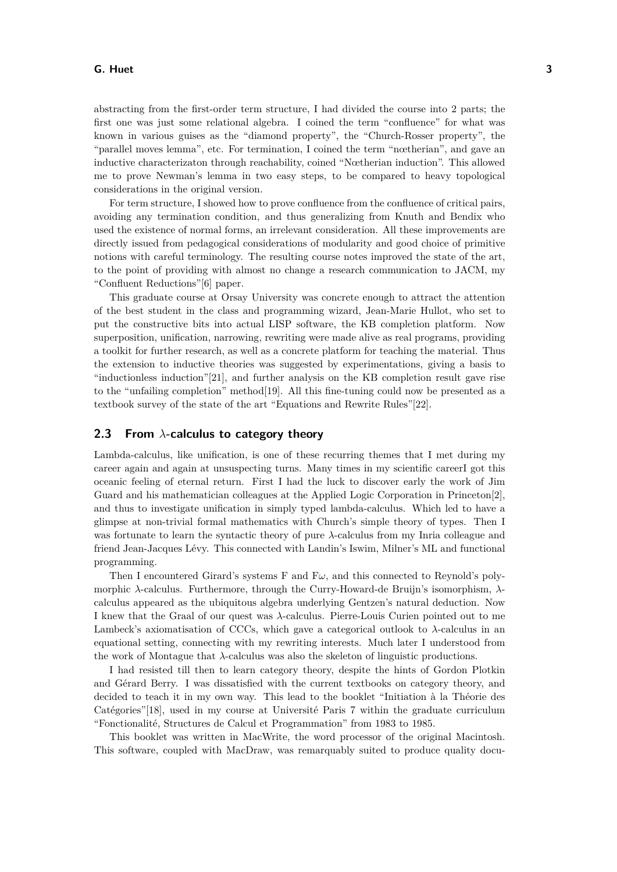#### **G. Huet 3**

abstracting from the first-order term structure, I had divided the course into 2 parts; the first one was just some relational algebra. I coined the term "confluence" for what was known in various guises as the "diamond property", the "Church-Rosser property", the "parallel moves lemma", etc. For termination, I coined the term "nœtherian", and gave an inductive characterizaton through reachability, coined "Nœtherian induction". This allowed me to prove Newman's lemma in two easy steps, to be compared to heavy topological considerations in the original version.

For term structure, I showed how to prove confluence from the confluence of critical pairs, avoiding any termination condition, and thus generalizing from Knuth and Bendix who used the existence of normal forms, an irrelevant consideration. All these improvements are directly issued from pedagogical considerations of modularity and good choice of primitive notions with careful terminology. The resulting course notes improved the state of the art, to the point of providing with almost no change a research communication to JACM, my "Confluent Reductions"[\[6\]](#page-8-2) paper.

This graduate course at Orsay University was concrete enough to attract the attention of the best student in the class and programming wizard, Jean-Marie Hullot, who set to put the constructive bits into actual LISP software, the KB completion platform. Now superposition, unification, narrowing, rewriting were made alive as real programs, providing a toolkit for further research, as well as a concrete platform for teaching the material. Thus the extension to inductive theories was suggested by experimentations, giving a basis to "inductionless induction"[\[21\]](#page-9-2), and further analysis on the KB completion result gave rise to the "unfailing completion" method[\[19\]](#page-9-3). All this fine-tuning could now be presented as a textbook survey of the state of the art "Equations and Rewrite Rules"[\[22\]](#page-9-4).

### **2.3 From** *λ***-calculus to category theory**

Lambda-calculus, like unification, is one of these recurring themes that I met during my career again and again at unsuspecting turns. Many times in my scientific careerI got this oceanic feeling of eternal return. First I had the luck to discover early the work of Jim Guard and his mathematician colleagues at the Applied Logic Corporation in Princeton[\[2\]](#page-8-3), and thus to investigate unification in simply typed lambda-calculus. Which led to have a glimpse at non-trivial formal mathematics with Church's simple theory of types. Then I was fortunate to learn the syntactic theory of pure *λ*-calculus from my Inria colleague and friend Jean-Jacques Lévy. This connected with Landin's Iswim, Milner's ML and functional programming.

Then I encountered Girard's systems F and  $F\omega$ , and this connected to Reynold's polymorphic *λ*-calculus. Furthermore, through the Curry-Howard-de Bruijn's isomorphism, *λ*calculus appeared as the ubiquitous algebra underlying Gentzen's natural deduction. Now I knew that the Graal of our quest was *λ*-calculus. Pierre-Louis Curien pointed out to me Lambeck's axiomatisation of CCCs, which gave a categorical outlook to *λ*-calculus in an equational setting, connecting with my rewriting interests. Much later I understood from the work of Montague that *λ*-calculus was also the skeleton of linguistic productions.

I had resisted till then to learn category theory, despite the hints of Gordon Plotkin and Gérard Berry. I was dissatisfied with the current textbooks on category theory, and decided to teach it in my own way. This lead to the booklet "Initiation à la Théorie des Catégories"[\[18\]](#page-9-5), used in my course at Université Paris 7 within the graduate curriculum "Fonctionalité, Structures de Calcul et Programmation" from 1983 to 1985.

This booklet was written in MacWrite, the word processor of the original Macintosh. This software, coupled with MacDraw, was remarquably suited to produce quality docu-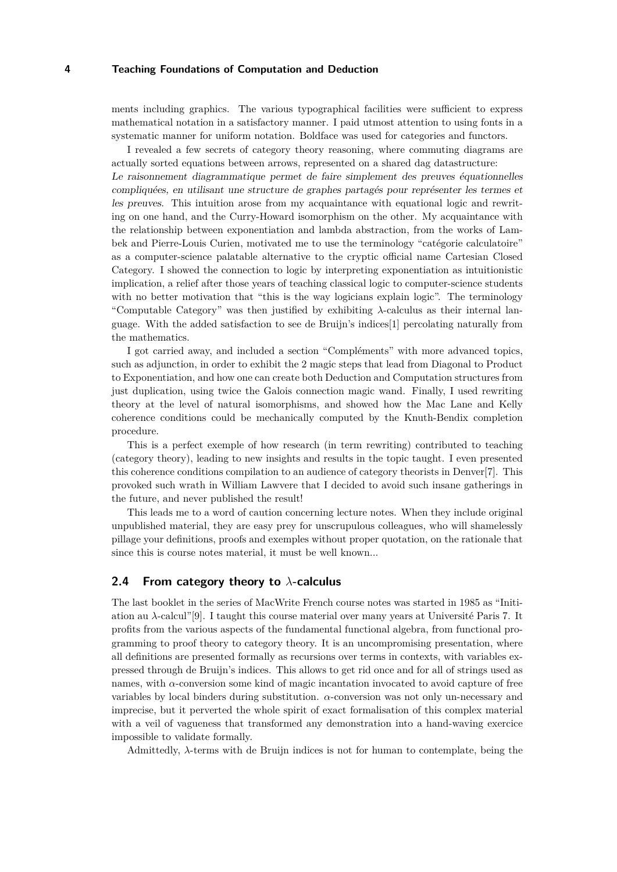ments including graphics. The various typographical facilities were sufficient to express mathematical notation in a satisfactory manner. I paid utmost attention to using fonts in a systematic manner for uniform notation. Boldface was used for categories and functors.

I revealed a few secrets of category theory reasoning, where commuting diagrams are actually sorted equations between arrows, represented on a shared dag datastructure: Le raisonnement diagrammatique permet de faire simplement des preuves équationnelles compliquées, en utilisant une structure de graphes partagés pour représenter les termes et les preuves. This intuition arose from my acquaintance with equational logic and rewriting on one hand, and the Curry-Howard isomorphism on the other. My acquaintance with the relationship between exponentiation and lambda abstraction, from the works of Lambek and Pierre-Louis Curien, motivated me to use the terminology "catégorie calculatoire" as a computer-science palatable alternative to the cryptic official name Cartesian Closed Category. I showed the connection to logic by interpreting exponentiation as intuitionistic implication, a relief after those years of teaching classical logic to computer-science students with no better motivation that "this is the way logicians explain logic". The terminology "Computable Category" was then justified by exhibiting *λ*-calculus as their internal language. With the added satisfaction to see de Bruijn's indices[\[1\]](#page-8-4) percolating naturally from the mathematics.

I got carried away, and included a section "Compléments" with more advanced topics, such as adjunction, in order to exhibit the 2 magic steps that lead from Diagonal to Product to Exponentiation, and how one can create both Deduction and Computation structures from just duplication, using twice the Galois connection magic wand. Finally, I used rewriting theory at the level of natural isomorphisms, and showed how the Mac Lane and Kelly coherence conditions could be mechanically computed by the Knuth-Bendix completion procedure.

This is a perfect exemple of how research (in term rewriting) contributed to teaching (category theory), leading to new insights and results in the topic taught. I even presented this coherence conditions compilation to an audience of category theorists in Denver[\[7\]](#page-9-6). This provoked such wrath in William Lawvere that I decided to avoid such insane gatherings in the future, and never published the result!

This leads me to a word of caution concerning lecture notes. When they include original unpublished material, they are easy prey for unscrupulous colleagues, who will shamelessly pillage your definitions, proofs and exemples without proper quotation, on the rationale that since this is course notes material, it must be well known...

## **2.4 From category theory to** *λ***-calculus**

The last booklet in the series of MacWrite French course notes was started in 1985 as "Initiation au *λ*-calcul"[\[9\]](#page-9-7). I taught this course material over many years at Université Paris 7. It profits from the various aspects of the fundamental functional algebra, from functional programming to proof theory to category theory. It is an uncompromising presentation, where all definitions are presented formally as recursions over terms in contexts, with variables expressed through de Bruijn's indices. This allows to get rid once and for all of strings used as names, with *α*-conversion some kind of magic incantation invocated to avoid capture of free variables by local binders during substitution. *α*-conversion was not only un-necessary and imprecise, but it perverted the whole spirit of exact formalisation of this complex material with a veil of vagueness that transformed any demonstration into a hand-waving exercice impossible to validate formally.

Admittedly, *λ*-terms with de Bruijn indices is not for human to contemplate, being the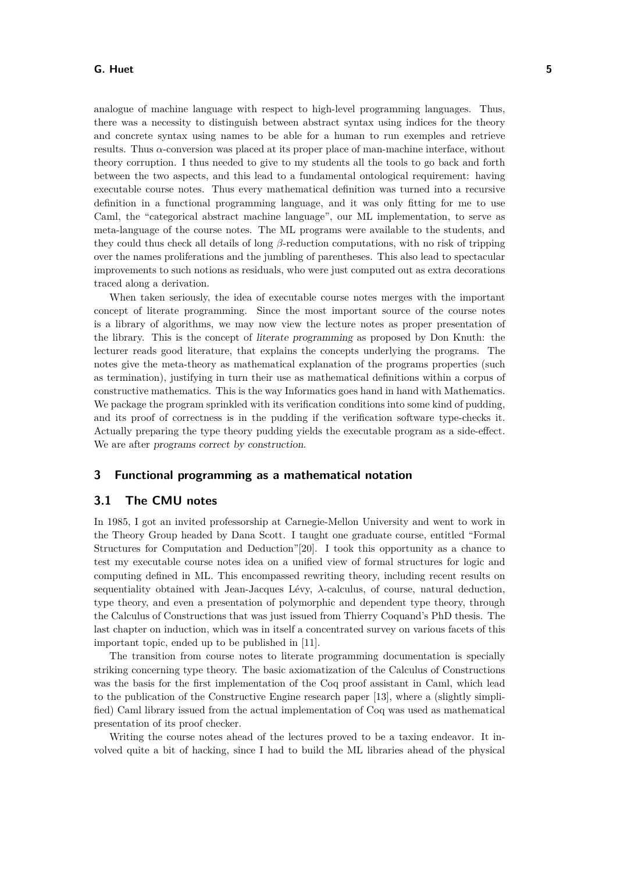#### **G. Huet 5**

analogue of machine language with respect to high-level programming languages. Thus, there was a necessity to distinguish between abstract syntax using indices for the theory and concrete syntax using names to be able for a human to run exemples and retrieve results. Thus *α*-conversion was placed at its proper place of man-machine interface, without theory corruption. I thus needed to give to my students all the tools to go back and forth between the two aspects, and this lead to a fundamental ontological requirement: having executable course notes. Thus every mathematical definition was turned into a recursive definition in a functional programming language, and it was only fitting for me to use Caml, the "categorical abstract machine language", our ML implementation, to serve as meta-language of the course notes. The ML programs were available to the students, and they could thus check all details of long *β*-reduction computations, with no risk of tripping over the names proliferations and the jumbling of parentheses. This also lead to spectacular improvements to such notions as residuals, who were just computed out as extra decorations traced along a derivation.

When taken seriously, the idea of executable course notes merges with the important concept of literate programming. Since the most important source of the course notes is a library of algorithms, we may now view the lecture notes as proper presentation of the library. This is the concept of literate programming as proposed by Don Knuth: the lecturer reads good literature, that explains the concepts underlying the programs. The notes give the meta-theory as mathematical explanation of the programs properties (such as termination), justifying in turn their use as mathematical definitions within a corpus of constructive mathematics. This is the way Informatics goes hand in hand with Mathematics. We package the program sprinkled with its verification conditions into some kind of pudding, and its proof of correctness is in the pudding if the verification software type-checks it. Actually preparing the type theory pudding yields the executable program as a side-effect. We are after programs correct by construction.

#### **3 Functional programming as a mathematical notation**

#### **3.1 The CMU notes**

In 1985, I got an invited professorship at Carnegie-Mellon University and went to work in the Theory Group headed by Dana Scott. I taught one graduate course, entitled "Formal Structures for Computation and Deduction"[\[20\]](#page-9-8). I took this opportunity as a chance to test my executable course notes idea on a unified view of formal structures for logic and computing defined in ML. This encompassed rewriting theory, including recent results on sequentiality obtained with Jean-Jacques Lévy, *λ*-calculus, of course, natural deduction, type theory, and even a presentation of polymorphic and dependent type theory, through the Calculus of Constructions that was just issued from Thierry Coquand's PhD thesis. The last chapter on induction, which was in itself a concentrated survey on various facets of this important topic, ended up to be published in [\[11\]](#page-9-9).

The transition from course notes to literate programming documentation is specially striking concerning type theory. The basic axiomatization of the Calculus of Constructions was the basis for the first implementation of the Coq proof assistant in Caml, which lead to the publication of the Constructive Engine research paper [\[13\]](#page-9-10), where a (slightly simplified) Caml library issued from the actual implementation of Coq was used as mathematical presentation of its proof checker.

Writing the course notes ahead of the lectures proved to be a taxing endeavor. It involved quite a bit of hacking, since I had to build the ML libraries ahead of the physical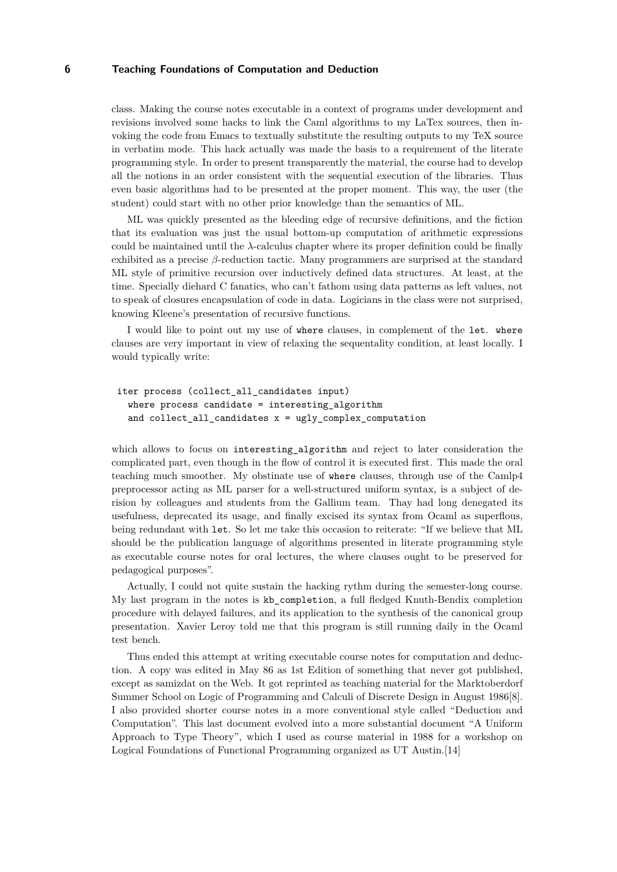class. Making the course notes executable in a context of programs under development and revisions involved some hacks to link the Caml algorithms to my LaTex sources, then invoking the code from Emacs to textually substitute the resulting outputs to my TeX source in verbatim mode. This hack actually was made the basis to a requirement of the literate programming style. In order to present transparently the material, the course had to develop all the notions in an order consistent with the sequential execution of the libraries. Thus even basic algorithms had to be presented at the proper moment. This way, the user (the student) could start with no other prior knowledge than the semantics of ML.

ML was quickly presented as the bleeding edge of recursive definitions, and the fiction that its evaluation was just the usual bottom-up computation of arithmetic expressions could be maintained until the *λ*-calculus chapter where its proper definition could be finally exhibited as a precise *β*-reduction tactic. Many programmers are surprised at the standard ML style of primitive recursion over inductively defined data structures. At least, at the time. Specially diehard C fanatics, who can't fathom using data patterns as left values, not to speak of closures encapsulation of code in data. Logicians in the class were not surprised, knowing Kleene's presentation of recursive functions.

I would like to point out my use of where clauses, in complement of the let. where clauses are very important in view of relaxing the sequentality condition, at least locally. I would typically write:

```
iter process (collect_all_candidates input)
where process candidate = interesting algorithm
and collect_all_candidates x = ugly_complex_computation
```
which allows to focus on interesting\_algorithm and reject to later consideration the complicated part, even though in the flow of control it is executed first. This made the oral teaching much smoother. My obstinate use of where clauses, through use of the Camlp4 preprocessor acting as ML parser for a well-structured uniform syntax, is a subject of derision by colleagues and students from the Gallium team. Thay had long denegated its usefulness, deprecated its usage, and finally excised its syntax from Ocaml as superflous, being redundant with let. So let me take this occasion to reiterate: "If we believe that ML should be the publication language of algorithms presented in literate programming style as executable course notes for oral lectures, the where clauses ought to be preserved for pedagogical purposes".

Actually, I could not quite sustain the hacking rythm during the semester-long course. My last program in the notes is kb\_completion, a full fledged Knuth-Bendix completion procedure with delayed failures, and its application to the synthesis of the canonical group presentation. Xavier Leroy told me that this program is still running daily in the Ocaml test bench.

Thus ended this attempt at writing executable course notes for computation and deduction. A copy was edited in May 86 as 1st Edition of something that never got published, except as samizdat on the Web. It got reprinted as teaching material for the Marktoberdorf Summer School on Logic of Programming and Calculi of Discrete Design in August 1986[\[8\]](#page-9-11). I also provided shorter course notes in a more conventional style called "Deduction and Computation". This last document evolved into a more substantial document "A Uniform Approach to Type Theory", which I used as course material in 1988 for a workshop on Logical Foundations of Functional Programming organized as UT Austin.[\[14\]](#page-9-12)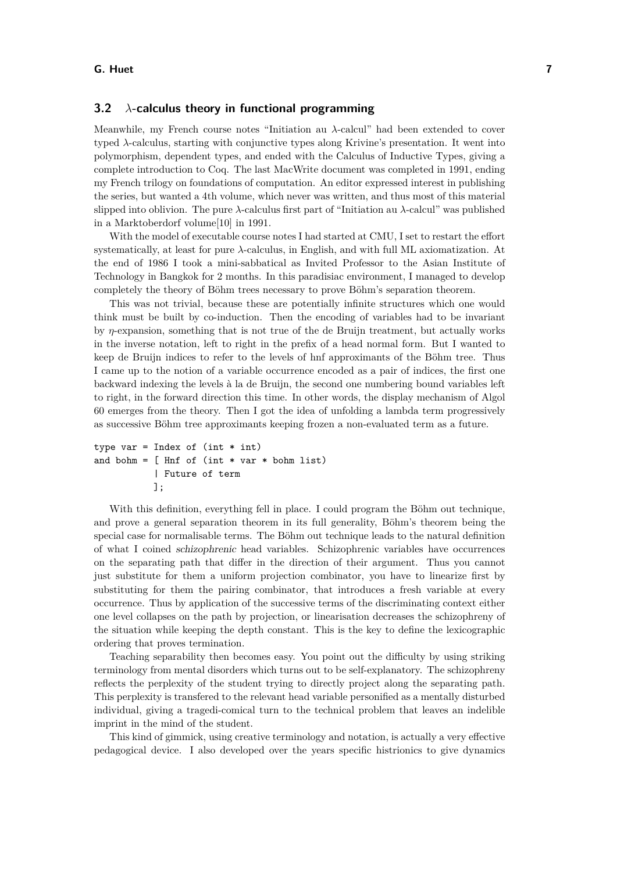## **3.2** *λ***-calculus theory in functional programming**

Meanwhile, my French course notes "Initiation au *λ*-calcul" had been extended to cover typed *λ*-calculus, starting with conjunctive types along Krivine's presentation. It went into polymorphism, dependent types, and ended with the Calculus of Inductive Types, giving a complete introduction to Coq. The last MacWrite document was completed in 1991, ending my French trilogy on foundations of computation. An editor expressed interest in publishing the series, but wanted a 4th volume, which never was written, and thus most of this material slipped into oblivion. The pure *λ*-calculus first part of "Initiation au *λ*-calcul" was published in a Marktoberdorf volume[\[10\]](#page-9-13) in 1991.

With the model of executable course notes I had started at CMU, I set to restart the effort systematically, at least for pure *λ*-calculus, in English, and with full ML axiomatization. At the end of 1986 I took a mini-sabbatical as Invited Professor to the Asian Institute of Technology in Bangkok for 2 months. In this paradisiac environment, I managed to develop completely the theory of Böhm trees necessary to prove Böhm's separation theorem.

This was not trivial, because these are potentially infinite structures which one would think must be built by co-induction. Then the encoding of variables had to be invariant by *η*-expansion, something that is not true of the de Bruijn treatment, but actually works in the inverse notation, left to right in the prefix of a head normal form. But I wanted to keep de Bruijn indices to refer to the levels of hnf approximants of the Böhm tree. Thus I came up to the notion of a variable occurrence encoded as a pair of indices, the first one backward indexing the levels à la de Bruijn, the second one numbering bound variables left to right, in the forward direction this time. In other words, the display mechanism of Algol 60 emerges from the theory. Then I got the idea of unfolding a lambda term progressively as successive Böhm tree approximants keeping frozen a non-evaluated term as a future.

```
type var = Index of (int * int)and bohm = [ Hnf of (int * var * bohm list)
         | Future of term
         ];
```
With this definition, everything fell in place. I could program the Böhm out technique, and prove a general separation theorem in its full generality, Böhm's theorem being the special case for normalisable terms. The Böhm out technique leads to the natural definition of what I coined schizophrenic head variables. Schizophrenic variables have occurrences on the separating path that differ in the direction of their argument. Thus you cannot just substitute for them a uniform projection combinator, you have to linearize first by substituting for them the pairing combinator, that introduces a fresh variable at every occurrence. Thus by application of the successive terms of the discriminating context either one level collapses on the path by projection, or linearisation decreases the schizophreny of the situation while keeping the depth constant. This is the key to define the lexicographic ordering that proves termination.

Teaching separability then becomes easy. You point out the difficulty by using striking terminology from mental disorders which turns out to be self-explanatory. The schizophreny reflects the perplexity of the student trying to directly project along the separating path. This perplexity is transfered to the relevant head variable personified as a mentally disturbed individual, giving a tragedi-comical turn to the technical problem that leaves an indelible imprint in the mind of the student.

This kind of gimmick, using creative terminology and notation, is actually a very effective pedagogical device. I also developed over the years specific histrionics to give dynamics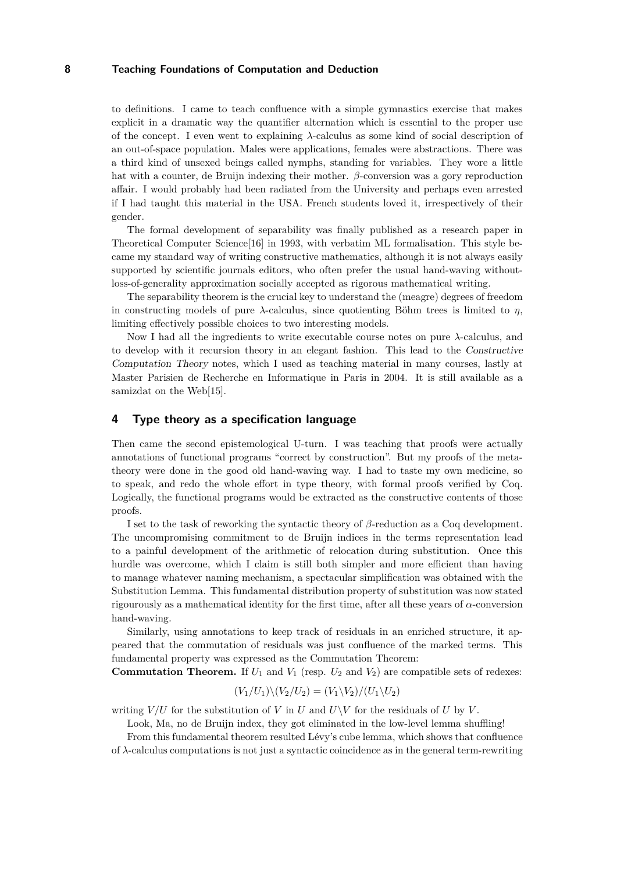to definitions. I came to teach confluence with a simple gymnastics exercise that makes explicit in a dramatic way the quantifier alternation which is essential to the proper use of the concept. I even went to explaining *λ*-calculus as some kind of social description of an out-of-space population. Males were applications, females were abstractions. There was a third kind of unsexed beings called nymphs, standing for variables. They wore a little hat with a counter, de Bruijn indexing their mother. *β*-conversion was a gory reproduction affair. I would probably had been radiated from the University and perhaps even arrested if I had taught this material in the USA. French students loved it, irrespectively of their gender.

The formal development of separability was finally published as a research paper in Theoretical Computer Science[\[16\]](#page-9-14) in 1993, with verbatim ML formalisation. This style became my standard way of writing constructive mathematics, although it is not always easily supported by scientific journals editors, who often prefer the usual hand-waving withoutloss-of-generality approximation socially accepted as rigorous mathematical writing.

The separability theorem is the crucial key to understand the (meagre) degrees of freedom in constructing models of pure  $\lambda$ -calculus, since quotienting Böhm trees is limited to  $\eta$ , limiting effectively possible choices to two interesting models.

Now I had all the ingredients to write executable course notes on pure *λ*-calculus, and to develop with it recursion theory in an elegant fashion. This lead to the Constructive Computation Theory notes, which I used as teaching material in many courses, lastly at Master Parisien de Recherche en Informatique in Paris in 2004. It is still available as a samizdat on the Web<sup>[\[15\]](#page-9-15)</sup>.

## **4 Type theory as a specification language**

Then came the second epistemological U-turn. I was teaching that proofs were actually annotations of functional programs "correct by construction". But my proofs of the metatheory were done in the good old hand-waving way. I had to taste my own medicine, so to speak, and redo the whole effort in type theory, with formal proofs verified by Coq. Logically, the functional programs would be extracted as the constructive contents of those proofs.

I set to the task of reworking the syntactic theory of *β*-reduction as a Coq development. The uncompromising commitment to de Bruijn indices in the terms representation lead to a painful development of the arithmetic of relocation during substitution. Once this hurdle was overcome, which I claim is still both simpler and more efficient than having to manage whatever naming mechanism, a spectacular simplification was obtained with the Substitution Lemma. This fundamental distribution property of substitution was now stated rigourously as a mathematical identity for the first time, after all these years of *α*-conversion hand-waving.

Similarly, using annotations to keep track of residuals in an enriched structure, it appeared that the commutation of residuals was just confluence of the marked terms. This fundamental property was expressed as the Commutation Theorem:

**Commutation Theorem.** If  $U_1$  and  $V_1$  (resp.  $U_2$  and  $V_2$ ) are compatible sets of redexes:

$$
(V_1/U_1)\backslash (V_2/U_2)=(V_1\backslash V_2)/(U_1\backslash U_2)
$$

writing  $V/U$  for the substitution of *V* in *U* and  $U\setminus V$  for the residuals of *U* by *V*.

Look, Ma, no de Bruijn index, they got eliminated in the low-level lemma shuffling!

From this fundamental theorem resulted Lévy's cube lemma, which shows that confluence of *λ*-calculus computations is not just a syntactic coincidence as in the general term-rewriting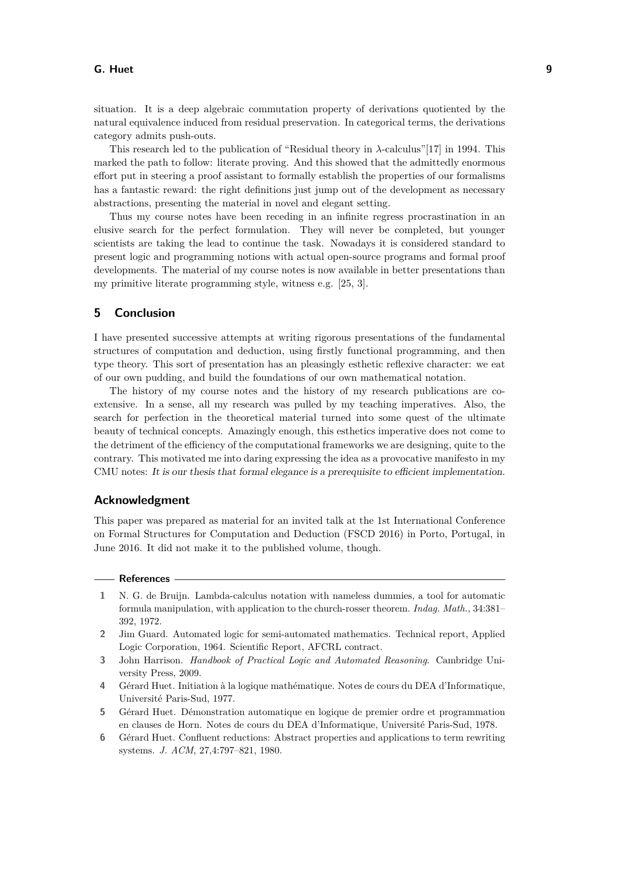#### **G. Huet 9**

situation. It is a deep algebraic commutation property of derivations quotiented by the natural equivalence induced from residual preservation. In categorical terms, the derivations category admits push-outs.

This research led to the publication of "Residual theory in *λ*-calculus"[\[17\]](#page-9-16) in 1994. This marked the path to follow: literate proving. And this showed that the admittedly enormous effort put in steering a proof assistant to formally establish the properties of our formalisms has a fantastic reward: the right definitions just jump out of the development as necessary abstractions, presenting the material in novel and elegant setting.

Thus my course notes have been receding in an infinite regress procrastination in an elusive search for the perfect formulation. They will never be completed, but younger scientists are taking the lead to continue the task. Nowadays it is considered standard to present logic and programming notions with actual open-source programs and formal proof developments. The material of my course notes is now available in better presentations than my primitive literate programming style, witness e.g. [\[25,](#page-9-17) [3\]](#page-8-5).

# **5 Conclusion**

I have presented successive attempts at writing rigorous presentations of the fundamental structures of computation and deduction, using firstly functional programming, and then type theory. This sort of presentation has an pleasingly esthetic reflexive character: we eat of our own pudding, and build the foundations of our own mathematical notation.

The history of my course notes and the history of my research publications are coextensive. In a sense, all my research was pulled by my teaching imperatives. Also, the search for perfection in the theoretical material turned into some quest of the ultimate beauty of technical concepts. Amazingly enough, this esthetics imperative does not come to the detriment of the efficiency of the computational frameworks we are designing, quite to the contrary. This motivated me into daring expressing the idea as a provocative manifesto in my CMU notes: It is our thesis that formal elegance is a prerequisite to efficient implementation.

## **Acknowledgment**

This paper was prepared as material for an invited talk at the 1st International Conference on Formal Structures for Computation and Deduction (FSCD 2016) in Porto, Portugal, in June 2016. It did not make it to the published volume, though.

## **References**

- <span id="page-8-4"></span>**1** N. G. de Bruijn. Lambda-calculus notation with nameless dummies, a tool for automatic formula manipulation, with application to the church-rosser theorem. *Indag. Math.*, 34:381– 392, 1972.
- <span id="page-8-3"></span>**2** Jim Guard. Automated logic for semi-automated mathematics. Technical report, Applied Logic Corporation, 1964. Scientific Report, AFCRL contract.
- <span id="page-8-5"></span>**3** John Harrison. *Handbook of Practical Logic and Automated Reasoning*. Cambridge University Press, 2009.
- <span id="page-8-0"></span>**4** Gérard Huet. Initiation à la logique mathématique. Notes de cours du DEA d'Informatique, Université Paris-Sud, 1977.
- <span id="page-8-1"></span>**5** Gérard Huet. Démonstration automatique en logique de premier ordre et programmation en clauses de Horn. Notes de cours du DEA d'Informatique, Université Paris-Sud, 1978.
- <span id="page-8-2"></span>**6** Gérard Huet. Confluent reductions: Abstract properties and applications to term rewriting systems. *J. ACM*, 27,4:797–821, 1980.